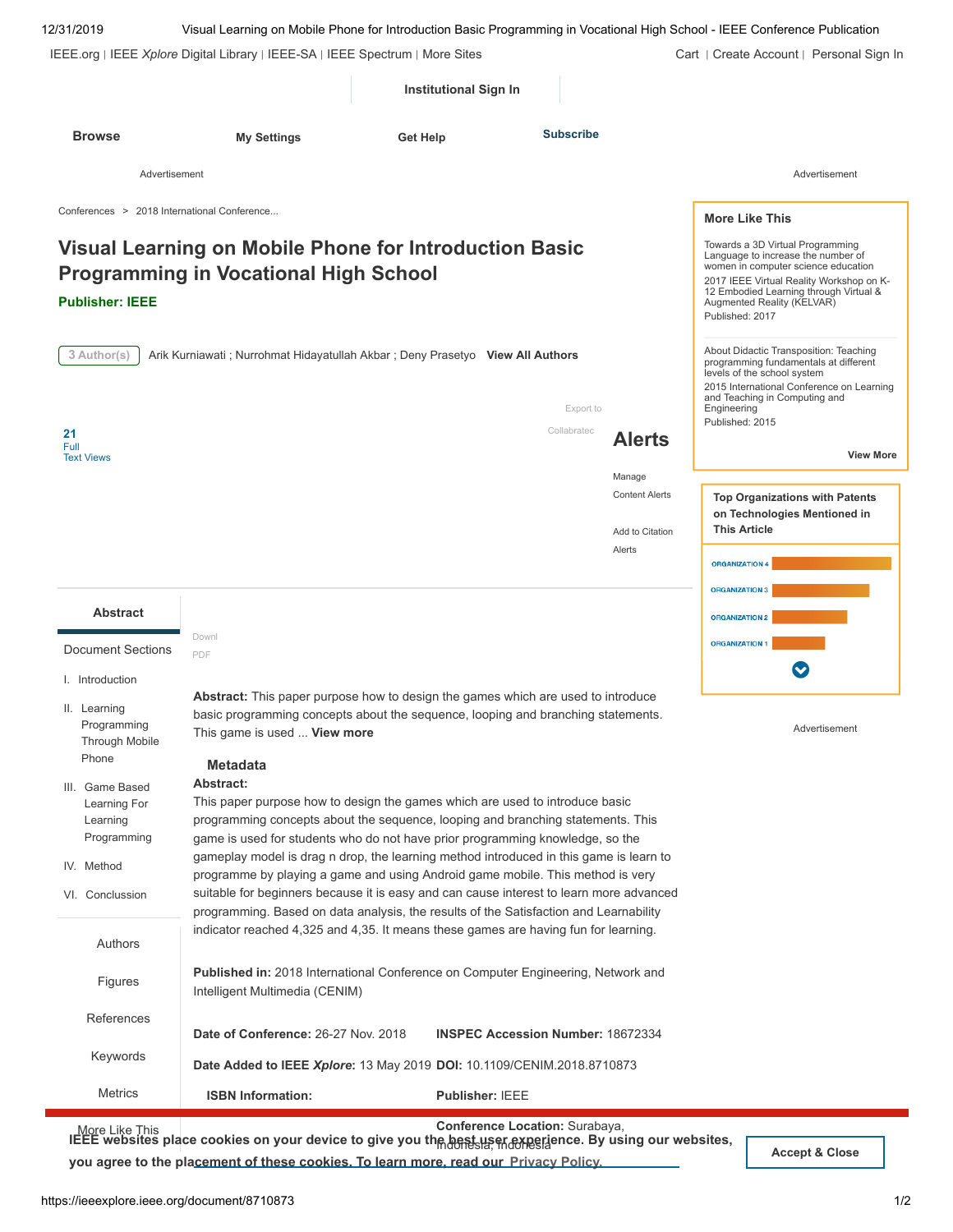| 12/31/2019                                                                                  |                                                                                                                                                                                                                                                                                                                                                                                                                                                                                                                                      |                 |                                          |                          |                                                              | Visual Learning on Mobile Phone for Introduction Basic Programming in Vocational High School - IEEE Conference Publication                                                                                                                           |
|---------------------------------------------------------------------------------------------|--------------------------------------------------------------------------------------------------------------------------------------------------------------------------------------------------------------------------------------------------------------------------------------------------------------------------------------------------------------------------------------------------------------------------------------------------------------------------------------------------------------------------------------|-----------------|------------------------------------------|--------------------------|--------------------------------------------------------------|------------------------------------------------------------------------------------------------------------------------------------------------------------------------------------------------------------------------------------------------------|
|                                                                                             | IEEE.org   IEEE Xplore Digital Library   IEEE-SA   IEEE Spectrum   More Sites                                                                                                                                                                                                                                                                                                                                                                                                                                                        |                 |                                          |                          |                                                              | Cart   Create Account   Personal Sign In                                                                                                                                                                                                             |
|                                                                                             |                                                                                                                                                                                                                                                                                                                                                                                                                                                                                                                                      |                 | <b>Institutional Sign In</b>             |                          |                                                              |                                                                                                                                                                                                                                                      |
| <b>Browse</b>                                                                               | <b>My Settings</b>                                                                                                                                                                                                                                                                                                                                                                                                                                                                                                                   | <b>Get Help</b> |                                          | <b>Subscribe</b>         |                                                              |                                                                                                                                                                                                                                                      |
| Advertisement                                                                               |                                                                                                                                                                                                                                                                                                                                                                                                                                                                                                                                      |                 |                                          |                          |                                                              | Advertisement                                                                                                                                                                                                                                        |
| Conferences > 2018 International Conference                                                 |                                                                                                                                                                                                                                                                                                                                                                                                                                                                                                                                      |                 |                                          |                          |                                                              | <b>More Like This</b>                                                                                                                                                                                                                                |
| <b>Publisher: IEEE</b>                                                                      | Visual Learning on Mobile Phone for Introduction Basic<br><b>Programming in Vocational High School</b>                                                                                                                                                                                                                                                                                                                                                                                                                               |                 |                                          |                          |                                                              | Towards a 3D Virtual Programming<br>Language to increase the number of<br>women in computer science education<br>2017 IEEE Virtual Reality Workshop on K-<br>12 Embodied Learning through Virtual &<br>Augmented Reality (KELVAR)<br>Published: 2017 |
| 3 Author(s)<br>21<br>Full                                                                   | Arik Kurniawati ; Nurrohmat Hidayatullah Akbar ; Deny Prasetyo View All Authors                                                                                                                                                                                                                                                                                                                                                                                                                                                      |                 |                                          | Export to<br>Collabratec | <b>Alerts</b>                                                | About Didactic Transposition: Teaching<br>programming fundamentals at different<br>levels of the school system<br>2015 International Conference on Learning<br>and Teaching in Computing and<br>Engineering<br>Published: 2015                       |
| <b>Text Views</b>                                                                           |                                                                                                                                                                                                                                                                                                                                                                                                                                                                                                                                      |                 |                                          |                          |                                                              | <b>View More</b>                                                                                                                                                                                                                                     |
|                                                                                             |                                                                                                                                                                                                                                                                                                                                                                                                                                                                                                                                      |                 |                                          |                          | Manage<br><b>Content Alerts</b><br>Add to Citation<br>Alerts | <b>Top Organizations with Patents</b><br>on Technologies Mentioned in<br><b>This Article</b><br><b>ORGANIZATION 4</b><br><b>ORGANIZATION 3</b>                                                                                                       |
| <b>Abstract</b>                                                                             |                                                                                                                                                                                                                                                                                                                                                                                                                                                                                                                                      |                 |                                          |                          |                                                              | <b>ORGANIZATION 2</b>                                                                                                                                                                                                                                |
| <b>Document Sections</b>                                                                    | Downl<br>PDF                                                                                                                                                                                                                                                                                                                                                                                                                                                                                                                         |                 |                                          |                          |                                                              | <b>ORGANIZATION 1</b>                                                                                                                                                                                                                                |
| I. Introduction                                                                             |                                                                                                                                                                                                                                                                                                                                                                                                                                                                                                                                      |                 |                                          |                          |                                                              |                                                                                                                                                                                                                                                      |
| II. Learning<br>Programming<br>Through Mobile<br>Phone                                      | <b>Abstract:</b> This paper purpose how to design the games which are used to introduce<br>basic programming concepts about the sequence, looping and branching statements.<br>This game is used  View more<br><b>Metadata</b>                                                                                                                                                                                                                                                                                                       |                 |                                          |                          |                                                              | Advertisement                                                                                                                                                                                                                                        |
| III. Game Based<br>Learning For<br>Learning<br>Programming<br>IV. Method<br>VI. Conclussion | Abstract:<br>This paper purpose how to design the games which are used to introduce basic<br>programming concepts about the sequence, looping and branching statements. This<br>game is used for students who do not have prior programming knowledge, so the<br>gameplay model is drag n drop, the learning method introduced in this game is learn to<br>programme by playing a game and using Android game mobile. This method is very<br>suitable for beginners because it is easy and can cause interest to learn more advanced |                 |                                          |                          |                                                              |                                                                                                                                                                                                                                                      |
| Authors                                                                                     | programming. Based on data analysis, the results of the Satisfaction and Learnability<br>indicator reached 4,325 and 4,35. It means these games are having fun for learning.                                                                                                                                                                                                                                                                                                                                                         |                 |                                          |                          |                                                              |                                                                                                                                                                                                                                                      |
| Figures                                                                                     | Published in: 2018 International Conference on Computer Engineering, Network and<br>Intelligent Multimedia (CENIM)                                                                                                                                                                                                                                                                                                                                                                                                                   |                 |                                          |                          |                                                              |                                                                                                                                                                                                                                                      |
| References                                                                                  | Date of Conference: 26-27 Nov. 2018                                                                                                                                                                                                                                                                                                                                                                                                                                                                                                  |                 | <b>INSPEC Accession Number: 18672334</b> |                          |                                                              |                                                                                                                                                                                                                                                      |
| Keywords                                                                                    | Date Added to IEEE Xplore: 13 May 2019 DOI: 10.1109/CENIM.2018.8710873                                                                                                                                                                                                                                                                                                                                                                                                                                                               |                 |                                          |                          |                                                              |                                                                                                                                                                                                                                                      |
| <b>Metrics</b>                                                                              | <b>ISBN Information:</b>                                                                                                                                                                                                                                                                                                                                                                                                                                                                                                             |                 | <b>Publisher: IEEE</b>                   |                          |                                                              |                                                                                                                                                                                                                                                      |
| More Like This                                                                              |                                                                                                                                                                                                                                                                                                                                                                                                                                                                                                                                      |                 | Conference Location: Surabaya,           |                          |                                                              |                                                                                                                                                                                                                                                      |

[IEEE websites pla](https://ieeexplore.ieee.org/document/8710873/similar)ce cookies on your device to give you the best user experience. By using our websites, **you agree to the placement of these cookies. To learn more, read our Accept & Close [Privacy Policy.](https://www.ieee.org/about/help/security_privacy.html)**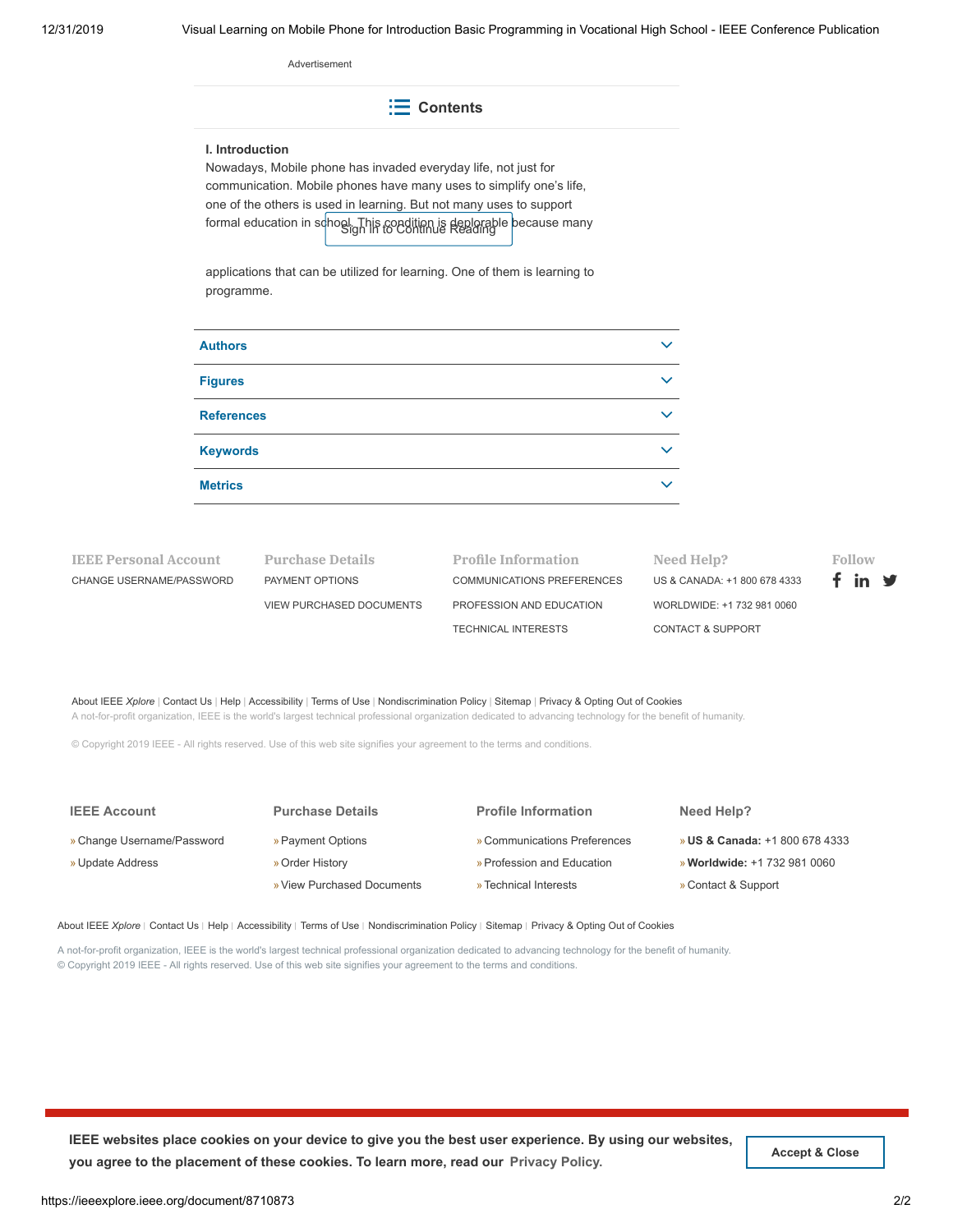Advertisement

**Contents**

#### **I. Introduction**

Nowadays, Mobile phone has invaded everyday life, not just for communication. Mobile phones have many uses to simplify one's life, one of the others is used in learning. But not many uses to support formal education in school. This condition is deplorable because many<br>Ign hi to Continue Reading

applications that can be utilized for learning. One of them is learning to programme.

| <b>Authors</b>    | $\checkmark$ |
|-------------------|--------------|
| <b>Figures</b>    | $\checkmark$ |
| <b>References</b> | $\checkmark$ |
| <b>Keywords</b>   | $\checkmark$ |
| <b>Metrics</b>    | $\checkmark$ |

**IEEE Personal Account** [CHANGE USERNAME/PASSWORD](https://www.ieee.org/profile/changeusrpwd/showChangeUsrPwdPage.html?refSite=http://ieeexplore.ieee.org&refSiteName=IEEE%20Xplore) **Purchase Details** [PAYMENT OPTIONS](https://www.ieee.org/profile/payment/showPaymentHome.html?refSite=http://ieeexplore.ieee.org&refSiteName=IEEE%20Xplore) [VIEW PURCHASED DOCUMENTS](https://ieeexplore.ieee.org/articleSale/purchaseHistory.jsp)

| Profile Information        | Need Help?               |
|----------------------------|--------------------------|
| COMMUNICATIONS PREFERENCES | US & CANADA: +           |
| PROFESSION AND EDUCATION   | WORLDWIDE: +1            |
| TECHNICAL INTERESTS        | <b>CONTACT &amp; SUP</b> |

1 800 678 4333 732 981 0060 PORT



[About IEEE](https://ieeexplore.ieee.org/Xplorehelp/about-ieee-xplore.html) *Xplore* | [Contact Us](https://ieeexplore.ieee.org/xpl/contact) | [Help](https://ieeexplore.ieee.org/Xplorehelp/Help_start.html) | [Accessibility](https://ieeexplore.ieee.org/Xplorehelp/accessibility-statement.html) | [Terms of Use](https://ieeexplore.ieee.org/Xplorehelp/Help_Terms_of_Use.html) | [Nondiscrimination Policy](http://www.ieee.org/web/aboutus/whatis/policies/p9-26.html) | [Sitemap](https://ieeexplore.ieee.org/xpl/sitemap.jsp) | [Privacy & Opting Out of Cookies](http://www.ieee.org/about/help/security_privacy.html)

A not-for-profit organization, IEEE is the world's largest technical professional organization dedicated to advancing technology for the benefit of humanity.

© Copyright 2019 IEEE - All rights reserved. Use of this web site signifies your agreement to the terms and conditions.

| <b>IEEE Account</b>        | <b>Purchase Details</b>    | <b>Profile Information</b>   | Need Help?                                |
|----------------------------|----------------------------|------------------------------|-------------------------------------------|
| » Change Username/Password | » Payment Options          | » Communications Preferences | <b>» US &amp; Canada: +1 800 678 4333</b> |
| » Update Address           | » Order History            | » Profession and Education   | <b>» Worldwide: +1 732 981 0060</b>       |
|                            | » View Purchased Documents | » Technical Interests        | » Contact & Support                       |

[About IEEE](https://ieeexplore.ieee.org/Xplorehelp/about-ieee-xplore.html) *Xplore* | [Contact Us](https://ieeexplore.ieee.org/xpl/contact) | [Help](https://ieeexplore.ieee.org/Xplorehelp/Help_start.html) | [Accessibility](https://ieeexplore.ieee.org/Xplorehelp/accessibility-statement.html) | [Terms of Use](https://ieeexplore.ieee.org/Xplorehelp/Help_Terms_of_Use.html) | [Nondiscrimination Policy](http://www.ieee.org/web/aboutus/whatis/policies/p9-26.html) | [Sitemap](https://ieeexplore.ieee.org/xpl/sitemap.jsp) | [Privacy & Opting Out of Cookies](http://www.ieee.org/about/help/security_privacy.html)

A not-for-profit organization, IEEE is the world's largest technical professional organization dedicated to advancing technology for the benefit of humanity. © Copyright 2019 IEEE - All rights reserved. Use of this web site signifies your agreement to the terms and conditions.

**IEEE websites place cookies on your device to give you the best user experience. By using our websites,** you agree to the placement of these cookies. To learn more, read our [Privacy Policy.](https://www.ieee.org/about/help/security_privacy.html) **Accept Accept** & Close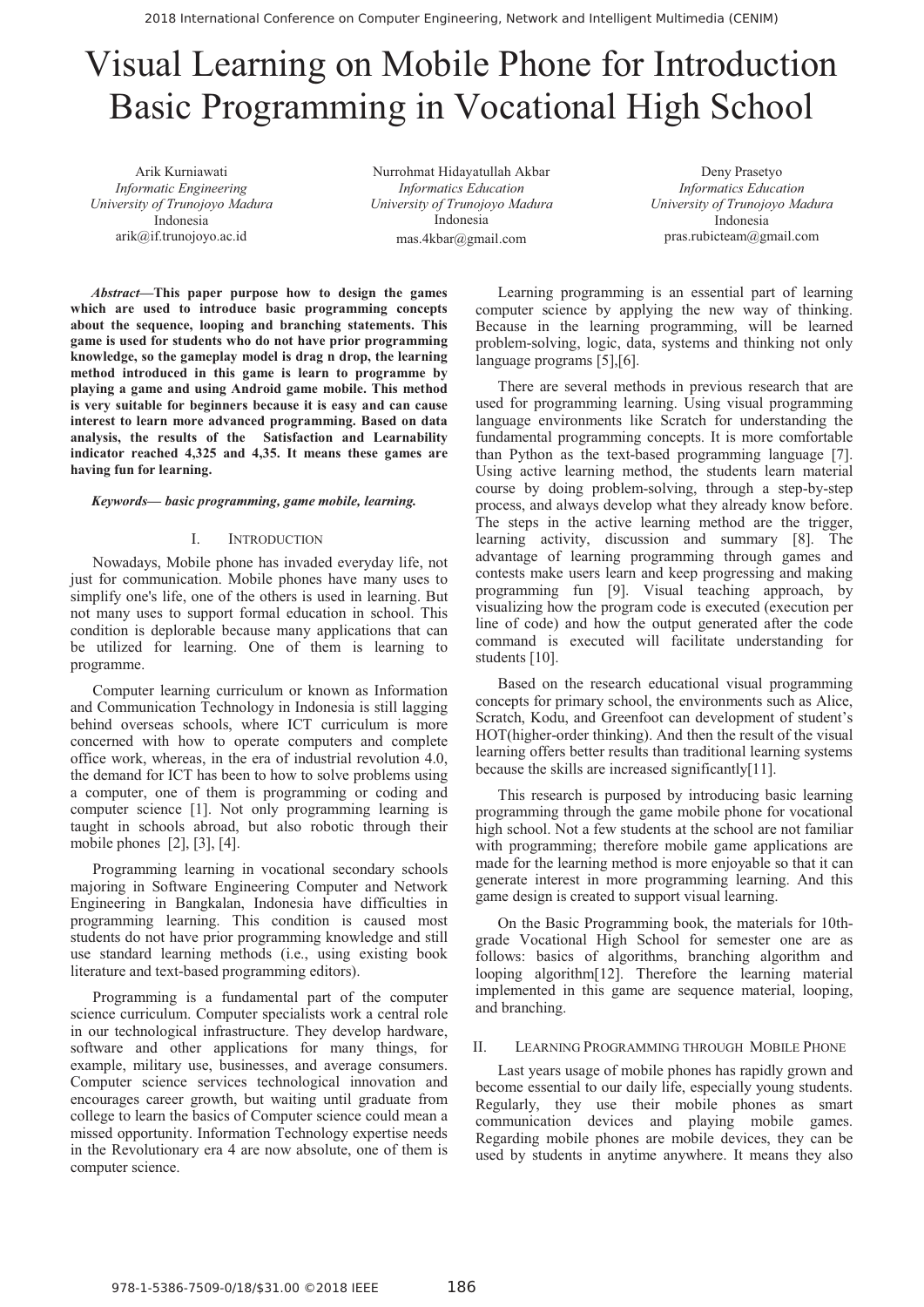# Visual Learning on Mobile Phone for Introduction Basic Programming in Vocational High School

Arik Kurniawati *Informatic Engineering University of Trunojoyo Madura*  Indonesia arik@if.trunojoyo.ac.id

Nurrohmat Hidayatullah Akbar *Informatics Education University of Trunojoyo Madura* Indonesia mas.4kbar@gmail.com

Deny Prasetyo *Informatics Education University of Trunojoyo Madura* Indonesia pras.rubicteam@gmail.com

*Abstract***—This paper purpose how to design the games which are used to introduce basic programming concepts about the sequence, looping and branching statements. This game is used for students who do not have prior programming knowledge, so the gameplay model is drag n drop, the learning method introduced in this game is learn to programme by playing a game and using Android game mobile. This method is very suitable for beginners because it is easy and can cause interest to learn more advanced programming. Based on data analysis, the results of the Satisfaction and Learnability indicator reached 4,325 and 4,35. It means these games are having fun for learning.** 

#### *Keywords— basic programming, game mobile, learning.*

#### I. INTRODUCTION

Nowadays, Mobile phone has invaded everyday life, not just for communication. Mobile phones have many uses to simplify one's life, one of the others is used in learning. But not many uses to support formal education in school. This condition is deplorable because many applications that can be utilized for learning. One of them is learning to programme.

Computer learning curriculum or known as Information and Communication Technology in Indonesia is still lagging behind overseas schools, where ICT curriculum is more concerned with how to operate computers and complete office work, whereas, in the era of industrial revolution 4.0, the demand for ICT has been to how to solve problems using a computer, one of them is programming or coding and computer science [1]. Not only programming learning is taught in schools abroad, but also robotic through their mobile phones [2], [3], [4].

Programming learning in vocational secondary schools majoring in Software Engineering Computer and Network Engineering in Bangkalan, Indonesia have difficulties in programming learning. This condition is caused most students do not have prior programming knowledge and still use standard learning methods (i.e., using existing book literature and text-based programming editors).

Programming is a fundamental part of the computer science curriculum. Computer specialists work a central role in our technological infrastructure. They develop hardware, software and other applications for many things, for example, military use, businesses, and average consumers. Computer science services technological innovation and encourages career growth, but waiting until graduate from college to learn the basics of Computer science could mean a missed opportunity. Information Technology expertise needs in the Revolutionary era 4 are now absolute, one of them is computer science.

Learning programming is an essential part of learning computer science by applying the new way of thinking. Because in the learning programming, will be learned problem-solving, logic, data, systems and thinking not only language programs [5],[6].

There are several methods in previous research that are used for programming learning. Using visual programming language environments like Scratch for understanding the fundamental programming concepts. It is more comfortable than Python as the text-based programming language [7]. Using active learning method, the students learn material course by doing problem-solving, through a step-by-step process, and always develop what they already know before. The steps in the active learning method are the trigger, learning activity, discussion and summary [8]. The advantage of learning programming through games and contests make users learn and keep progressing and making programming fun [9]. Visual teaching approach, by visualizing how the program code is executed (execution per line of code) and how the output generated after the code command is executed will facilitate understanding for students [10].

Based on the research educational visual programming concepts for primary school, the environments such as Alice, Scratch, Kodu, and Greenfoot can development of student's HOT(higher-order thinking). And then the result of the visual learning offers better results than traditional learning systems because the skills are increased significantly[11].

This research is purposed by introducing basic learning programming through the game mobile phone for vocational high school. Not a few students at the school are not familiar with programming; therefore mobile game applications are made for the learning method is more enjoyable so that it can generate interest in more programming learning. And this game design is created to support visual learning.

On the Basic Programming book, the materials for 10thgrade Vocational High School for semester one are as follows: basics of algorithms, branching algorithm and looping algorithm[12]. Therefore the learning material implemented in this game are sequence material, looping, and branching.

#### II. LEARNING PROGRAMMING THROUGH MOBILE PHONE

Last years usage of mobile phones has rapidly grown and become essential to our daily life, especially young students. Regularly, they use their mobile phones as smart communication devices and playing mobile games. Regarding mobile phones are mobile devices, they can be used by students in anytime anywhere. It means they also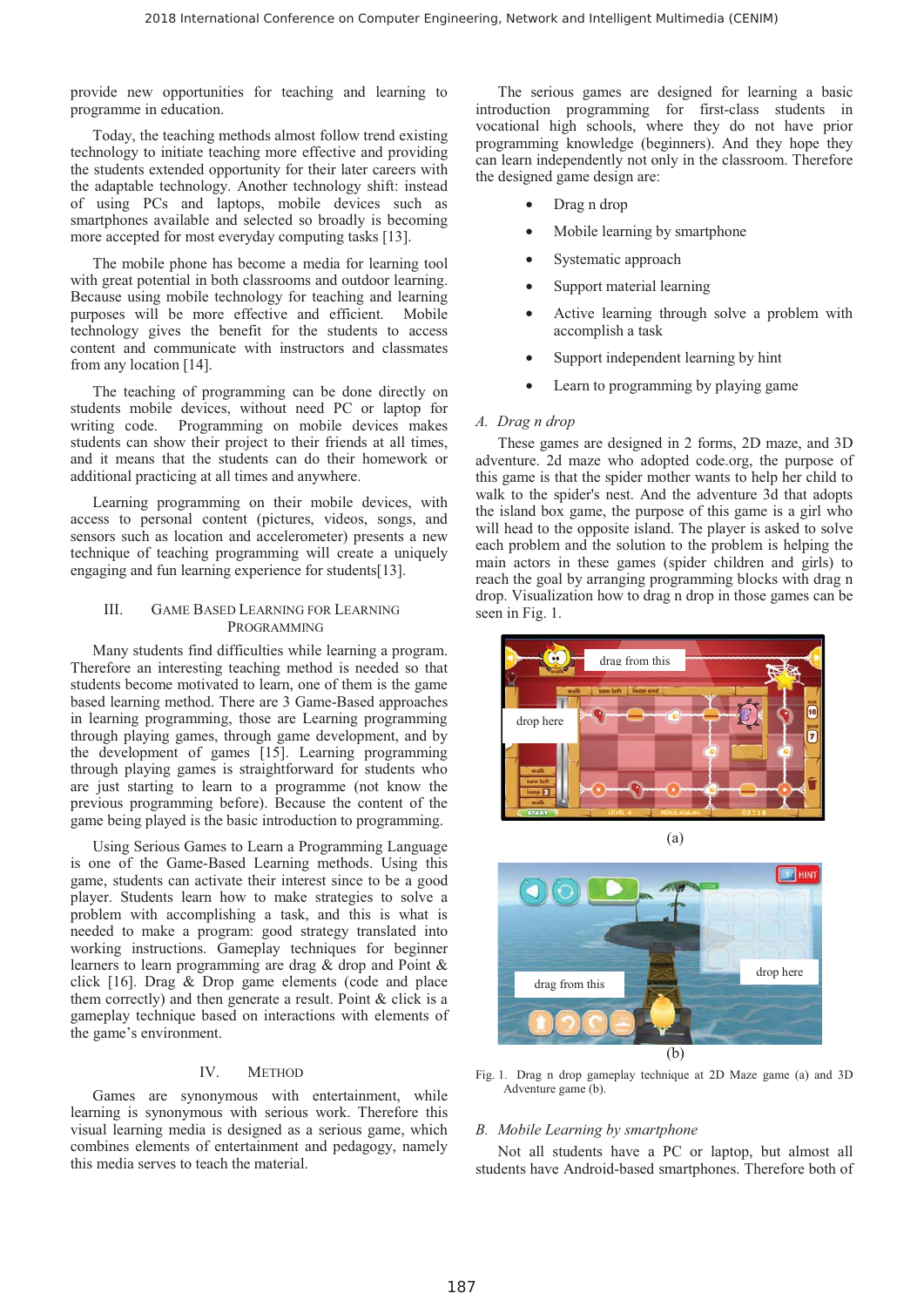provide new opportunities for teaching and learning to programme in education.

Today, the teaching methods almost follow trend existing technology to initiate teaching more effective and providing the students extended opportunity for their later careers with the adaptable technology. Another technology shift: instead of using PCs and laptops, mobile devices such as smartphones available and selected so broadly is becoming more accepted for most everyday computing tasks [13].

The mobile phone has become a media for learning tool with great potential in both classrooms and outdoor learning. Because using mobile technology for teaching and learning purposes will be more effective and efficient. Mobile technology gives the benefit for the students to access content and communicate with instructors and classmates from any location [14].

The teaching of programming can be done directly on students mobile devices, without need PC or laptop for writing code. Programming on mobile devices makes students can show their project to their friends at all times, and it means that the students can do their homework or additional practicing at all times and anywhere.

Learning programming on their mobile devices, with access to personal content (pictures, videos, songs, and sensors such as location and accelerometer) presents a new technique of teaching programming will create a uniquely engaging and fun learning experience for students[13].

#### III. GAME BASED LEARNING FOR LEARNING **PROGRAMMING**

Many students find difficulties while learning a program. Therefore an interesting teaching method is needed so that students become motivated to learn, one of them is the game based learning method. There are 3 Game-Based approaches in learning programming, those are Learning programming through playing games, through game development, and by the development of games [15]. Learning programming through playing games is straightforward for students who are just starting to learn to a programme (not know the previous programming before). Because the content of the game being played is the basic introduction to programming.

Using Serious Games to Learn a Programming Language is one of the Game-Based Learning methods. Using this game, students can activate their interest since to be a good player. Students learn how to make strategies to solve a problem with accomplishing a task, and this is what is needed to make a program: good strategy translated into working instructions. Gameplay techniques for beginner learners to learn programming are drag & drop and Point & click [16]. Drag & Drop game elements (code and place them correctly) and then generate a result. Point & click is a gameplay technique based on interactions with elements of the game's environment.

# IV. METHOD

Games are synonymous with entertainment, while learning is synonymous with serious work. Therefore this visual learning media is designed as a serious game, which combines elements of entertainment and pedagogy, namely this media serves to teach the material.

The serious games are designed for learning a basic introduction programming for first-class students in vocational high schools, where they do not have prior programming knowledge (beginners). And they hope they can learn independently not only in the classroom. Therefore the designed game design are:

- Drag n drop
- Mobile learning by smartphone
- Systematic approach
- Support material learning
- Active learning through solve a problem with accomplish a task
- Support independent learning by hint
- Learn to programming by playing game

#### *A. Drag n drop*

These games are designed in 2 forms, 2D maze, and 3D adventure. 2d maze who adopted code.org, the purpose of this game is that the spider mother wants to help her child to walk to the spider's nest. And the adventure 3d that adopts the island box game, the purpose of this game is a girl who will head to the opposite island. The player is asked to solve each problem and the solution to the problem is helping the main actors in these games (spider children and girls) to reach the goal by arranging programming blocks with drag n drop. Visualization how to drag n drop in those games can be seen in Fig. 1.





Fig. 1. Drag n drop gameplay technique at 2D Maze game (a) and 3D Adventure game (b).

#### *B. Mobile Learning by smartphone*

Not all students have a PC or laptop, but almost all students have Android-based smartphones. Therefore both of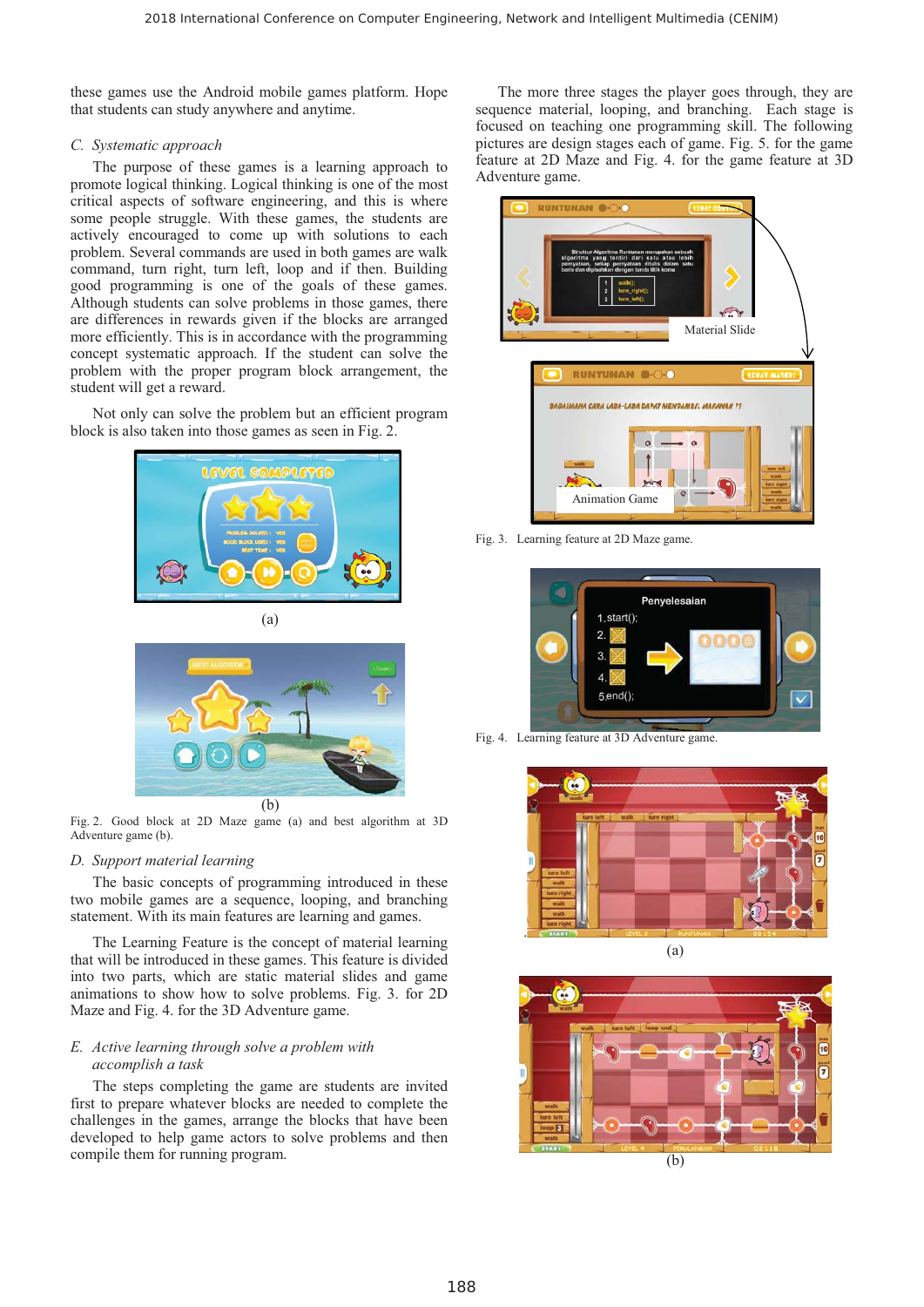these games use the Android mobile games platform. Hope that students can study anywhere and anytime.

#### *C. Systematic approach*

The purpose of these games is a learning approach to promote logical thinking. Logical thinking is one of the most critical aspects of software engineering, and this is where some people struggle. With these games, the students are actively encouraged to come up with solutions to each problem. Several commands are used in both games are walk command, turn right, turn left, loop and if then. Building good programming is one of the goals of these games. Although students can solve problems in those games, there are differences in rewards given if the blocks are arranged more efficiently. This is in accordance with the programming concept systematic approach. If the student can solve the problem with the proper program block arrangement, the student will get a reward.

Not only can solve the problem but an efficient program block is also taken into those games as seen in Fig. 2.





Fig. 2. Good block at 2D Maze game (a) and best algorithm at 3D Adventure game (b).

# *D. Support material learning*

The basic concepts of programming introduced in these two mobile games are a sequence, looping, and branching statement. With its main features are learning and games.

The Learning Feature is the concept of material learning that will be introduced in these games. This feature is divided into two parts, which are static material slides and game animations to show how to solve problems. Fig. 3. for 2D Maze and Fig. 4. for the 3D Adventure game.

# *E. Active learning through solve a problem with accomplish a task*

The steps completing the game are students are invited first to prepare whatever blocks are needed to complete the challenges in the games, arrange the blocks that have been developed to help game actors to solve problems and then compile them for running program.

The more three stages the player goes through, they are sequence material, looping, and branching. Each stage is focused on teaching one programming skill. The following pictures are design stages each of game. Fig. 5. for the game feature at 2D Maze and Fig. 4. for the game feature at 3D Adventure game.



Fig. 3. Learning feature at 2D Maze game.



Fig. 4. Learning feature at 3D Adventure game.



(a)



(b)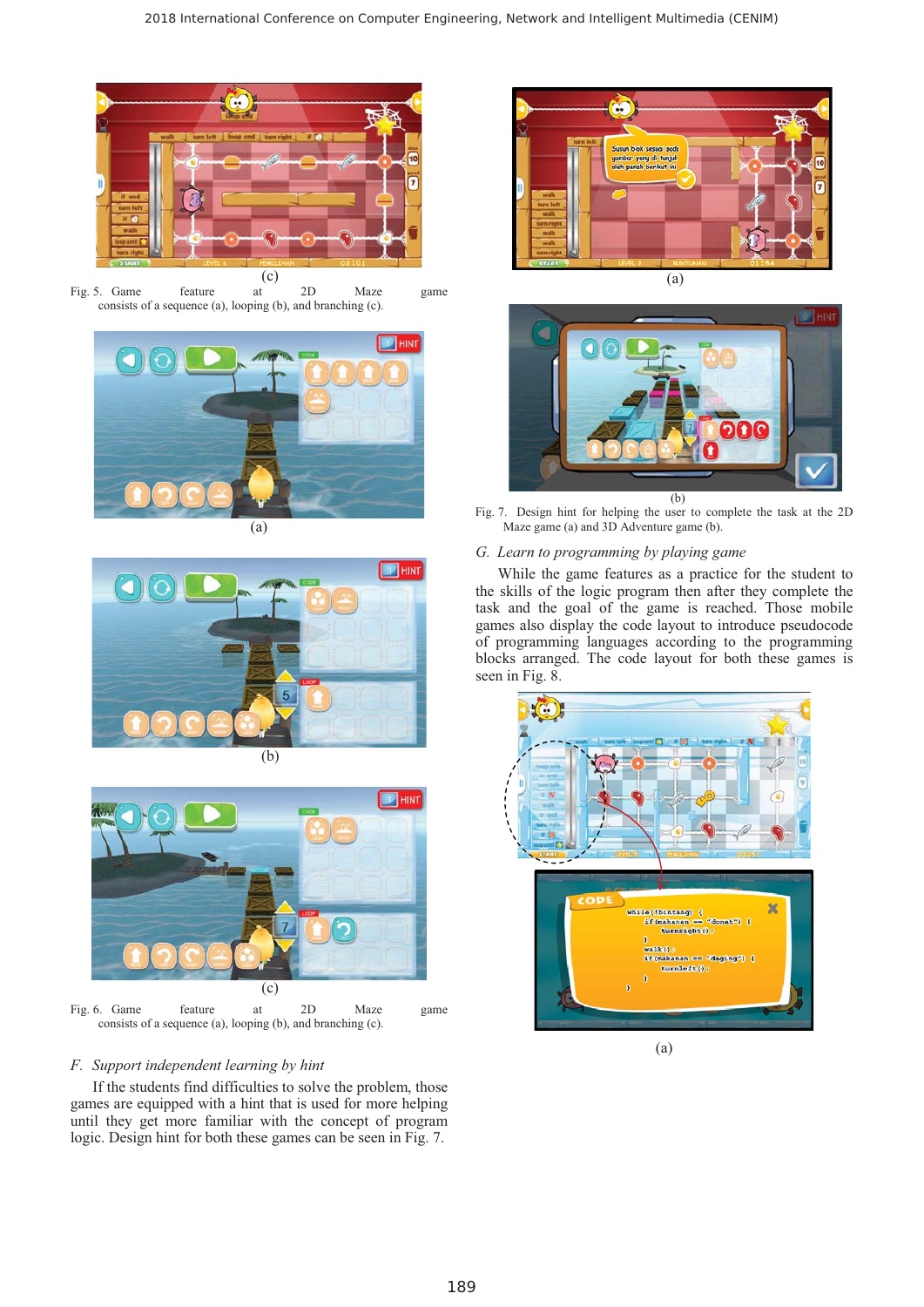

 $(c)$ <sub>at</sub> Fig. 5. Game feature at 2D Maze game consists of a sequence (a), looping (b), and branching (c).









Fig. 6. Game feature at 2D Maze game consists of a sequence (a), looping (b), and branching (c).

# *F. Support independent learning by hint*

If the students find difficulties to solve the problem, those games are equipped with a hint that is used for more helping until they get more familiar with the concept of program logic. Design hint for both these games can be seen in Fig. 7.



D<sup>'</sup> HIN วกด (b)

Fig. 7. Design hint for helping the user to complete the task at the 2D Maze game (a) and 3D Adventure game (b).

# *G. Learn to programming by playing game*

While the game features as a practice for the student to the skills of the logic program then after they complete the task and the goal of the game is reached. Those mobile games also display the code layout to introduce pseudocode of programming languages according to the programming blocks arranged. The code layout for both these games is seen in Fig. 8.

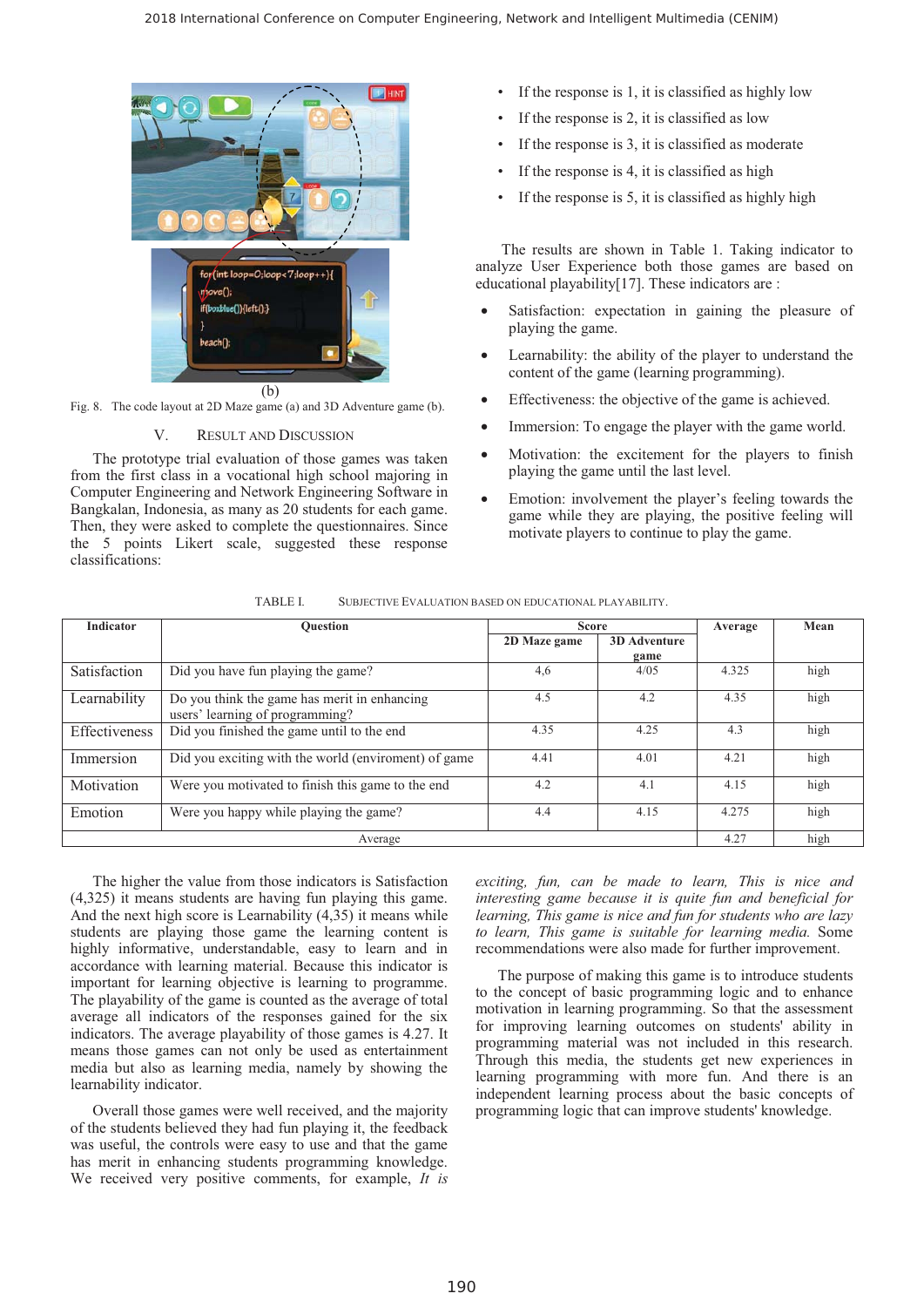

(b)

# Fig. 8. The code layout at 2D Maze game (a) and 3D Adventure game (b).

#### V. RESULT AND DISCUSSION

The prototype trial evaluation of those games was taken from the first class in a vocational high school majoring in Computer Engineering and Network Engineering Software in Bangkalan, Indonesia, as many as 20 students for each game. Then, they were asked to complete the questionnaires. Since the 5 points Likert scale, suggested these response classifications:

- If the response is 1, it is classified as highly low
- If the response is 2, it is classified as low
- If the response is 3, it is classified as moderate
- If the response is 4, it is classified as high
- If the response is 5, it is classified as highly high

 The results are shown in Table 1. Taking indicator to analyze User Experience both those games are based on educational playability[17]. These indicators are :

- Satisfaction: expectation in gaining the pleasure of playing the game.
- Learnability: the ability of the player to understand the content of the game (learning programming).
- Effectiveness: the objective of the game is achieved.
- Immersion: To engage the player with the game world.
- Motivation: the excitement for the players to finish playing the game until the last level.
- Emotion: involvement the player's feeling towards the game while they are playing, the positive feeling will motivate players to continue to play the game.

| <b>Indicator</b> | <b>Ouestion</b>                                                                 | <b>Score</b> |                     | Average | Mean |
|------------------|---------------------------------------------------------------------------------|--------------|---------------------|---------|------|
|                  |                                                                                 | 2D Maze game | <b>3D</b> Adventure |         |      |
|                  |                                                                                 |              | game                |         |      |
| Satisfaction     | Did you have fun playing the game?                                              | 4,6          | 4/0.5               | 4.325   | high |
| Learnability     | Do you think the game has merit in enhancing<br>users' learning of programming? | 4.5          | 4.2                 | 4.35    | high |
| Effectiveness    | Did you finished the game until to the end                                      | 4.35         | 4.25                | 4.3     | high |
| Immersion        | Did you exciting with the world (enviroment) of game                            | 4.41         | 4.01                | 4.21    | high |
| Motivation       | Were you motivated to finish this game to the end                               | 4.2          | 4.1                 | 4.15    | high |
| Emotion          | Were you happy while playing the game?                                          | 4.4          | 4.15                | 4.275   | high |
| Average          |                                                                                 |              |                     | 4.27    | high |

TABLE I. SUBJECTIVE EVALUATION BASED ON EDUCATIONAL PLAYABILITY.

The higher the value from those indicators is Satisfaction (4,325) it means students are having fun playing this game. And the next high score is Learnability (4,35) it means while students are playing those game the learning content is highly informative, understandable, easy to learn and in accordance with learning material. Because this indicator is important for learning objective is learning to programme. The playability of the game is counted as the average of total average all indicators of the responses gained for the six indicators. The average playability of those games is 4.27. It means those games can not only be used as entertainment media but also as learning media, namely by showing the learnability indicator.

Overall those games were well received, and the majority of the students believed they had fun playing it, the feedback was useful, the controls were easy to use and that the game has merit in enhancing students programming knowledge. We received very positive comments, for example, *It is*  *exciting, fun, can be made to learn, This is nice and interesting game because it is quite fun and beneficial for learning, This game is nice and fun for students who are lazy to learn, This game is suitable for learning media.* Some recommendations were also made for further improvement.

The purpose of making this game is to introduce students to the concept of basic programming logic and to enhance motivation in learning programming. So that the assessment for improving learning outcomes on students' ability in programming material was not included in this research. Through this media, the students get new experiences in learning programming with more fun. And there is an independent learning process about the basic concepts of programming logic that can improve students' knowledge.